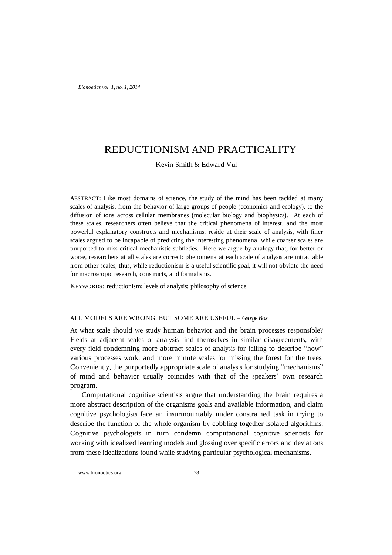*Bionoetics vol. 1, no. 1, 2014*

# REDUCTIONISM AND PRACTICALITY

Kevin Smith & Edward Vul

ABSTRACT: Like most domains of science, the study of the mind has been tackled at many scales of analysis, from the behavior of large groups of people (economics and ecology), to the diffusion of ions across cellular membranes (molecular biology and biophysics). At each of these scales, researchers often believe that the critical phenomena of interest, and the most powerful explanatory constructs and mechanisms, reside at their scale of analysis, with finer scales argued to be incapable of predicting the interesting phenomena, while coarser scales are purported to miss critical mechanistic subtleties. Here we argue by analogy that, for better or worse, researchers at all scales are correct: phenomena at each scale of analysis are intractable from other scales; thus, while reductionism is a useful scientific goal, it will not obviate the need for macroscopic research, constructs, and formalisms.

KEYWORDS: reductionism; levels of analysis; philosophy of science

### ALL MODELS ARE WRONG, BUT SOME ARE USEFUL – *George Box*

At what scale should we study human behavior and the brain processes responsible? Fields at adjacent scales of analysis find themselves in similar disagreements, with every field condemning more abstract scales of analysis for failing to describe "how" various processes work, and more minute scales for missing the forest for the trees. Conveniently, the purportedly appropriate scale of analysis for studying "mechanisms" of mind and behavior usually coincides with that of the speakers' own research program.

Computational cognitive scientists argue that understanding the brain requires a more abstract description of the organisms goals and available information, and claim cognitive psychologists face an insurmountably under constrained task in trying to describe the function of the whole organism by cobbling together isolated algorithms. Cognitive psychologists in turn condemn computational cognitive scientists for working with idealized learning models and glossing over specific errors and deviations from these idealizations found while studying particular psychological mechanisms.

www.bionoetics.org 78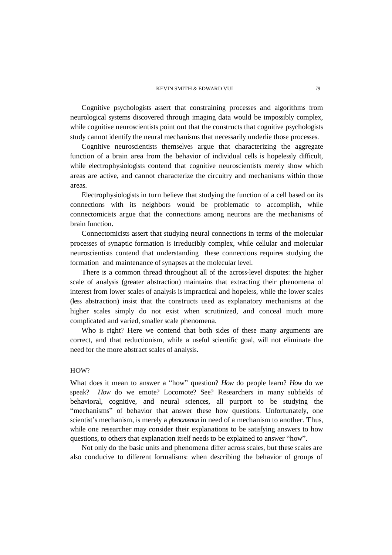Cognitive psychologists assert that constraining processes and algorithms from neurological systems discovered through imaging data would be impossibly complex, while cognitive neuroscientists point out that the constructs that cognitive psychologists study cannot identify the neural mechanisms that necessarily underlie those processes.

Cognitive neuroscientists themselves argue that characterizing the aggregate function of a brain area from the behavior of individual cells is hopelessly difficult, while electrophysiologists contend that cognitive neuroscientists merely show which areas are active, and cannot characterize the circuitry and mechanisms within those areas.

Electrophysiologists in turn believe that studying the function of a cell based on its connections with its neighbors would be problematic to accomplish, while connectomicists argue that the connections among neurons are the mechanisms of brain function.

Connectomicists assert that studying neural connections in terms of the molecular processes of synaptic formation is irreducibly complex, while cellular and molecular neuroscientists contend that understanding these connections requires studying the formation and maintenance of synapses at the molecular level.

There is a common thread throughout all of the across-level disputes: the higher scale of analysis (greater abstraction) maintains that extracting their phenomena of interest from lower scales of analysis is impractical and hopeless, while the lower scales (less abstraction) insist that the constructs used as explanatory mechanisms at the higher scales simply do not exist when scrutinized, and conceal much more complicated and varied, smaller scale phenomena.

Who is right? Here we contend that both sides of these many arguments are correct, and that reductionism, while a useful scientific goal, will not eliminate the need for the more abstract scales of analysis.

# HOW?

What does it mean to answer a "how" question? *How* do people learn? *How* do we speak? *How* do we emote? Locomote? See? Researchers in many subfields of behavioral, cognitive, and neural sciences, all purport to be studying the "mechanisms" of behavior that answer these how questions. Unfortunately, one scientist's mechanism, is merely a *phenomenon* in need of a mechanism to another. Thus, while one researcher may consider their explanations to be satisfying answers to how questions, to others that explanation itself needs to be explained to answer "how".

Not only do the basic units and phenomena differ across scales, but these scales are also conducive to different formalisms: when describing the behavior of groups of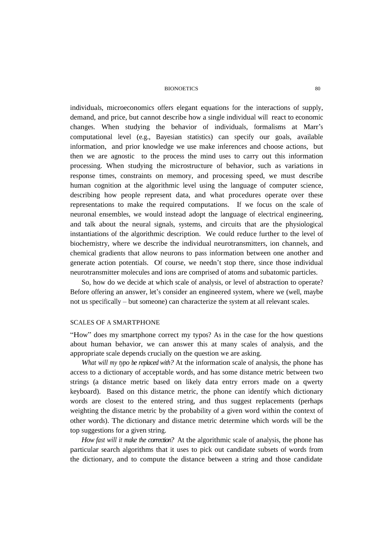#### BIONOETICS 80

individuals, microeconomics offers elegant equations for the interactions of supply, demand, and price, but cannot describe how a single individual will react to economic changes. When studying the behavior of individuals, formalisms at Marr's computational level (e.g., Bayesian statistics) can specify our goals, available information, and prior knowledge we use make inferences and choose actions, but then we are agnostic to the process the mind uses to carry out this information processing. When studying the microstructure of behavior, such as variations in response times, constraints on memory, and processing speed, we must describe human cognition at the algorithmic level using the language of computer science, describing how people represent data, and what procedures operate over these representations to make the required computations. If we focus on the scale of neuronal ensembles, we would instead adopt the language of electrical engineering, and talk about the neural signals, systems, and circuits that are the physiological instantiations of the algorithmic description. We could reduce further to the level of biochemistry, where we describe the individual neurotransmitters, ion channels, and chemical gradients that allow neurons to pass information between one another and generate action potentials. Of course, we needn't stop there, since those individual neurotransmitter molecules and ions are comprised of atoms and subatomic particles.

So, how do we decide at which scale of analysis, or level of abstraction to operate? Before offering an answer, let's consider an engineered system, where we (well, maybe not us specifically – but someone) can characterize the system at all relevant scales.

# SCALES OF A SMARTPHONE

"How" does my smartphone correct my typos? As in the case for the how questions about human behavior, we can answer this at many scales of analysis, and the appropriate scale depends crucially on the question we are asking.

*What will my typo be replaced with?* At the information scale of analysis, the phone has access to a dictionary of acceptable words, and has some distance metric between two strings (a distance metric based on likely data entry errors made on a qwerty keyboard). Based on this distance metric, the phone can identify which dictionary words are closest to the entered string, and thus suggest replacements (perhaps weighting the distance metric by the probability of a given word within the context of other words). The dictionary and distance metric determine which words will be the top suggestions for a given string.

*How fast will it make the correction?* At the algorithmic scale of analysis, the phone has particular search algorithms that it uses to pick out candidate subsets of words from the dictionary, and to compute the distance between a string and those candidate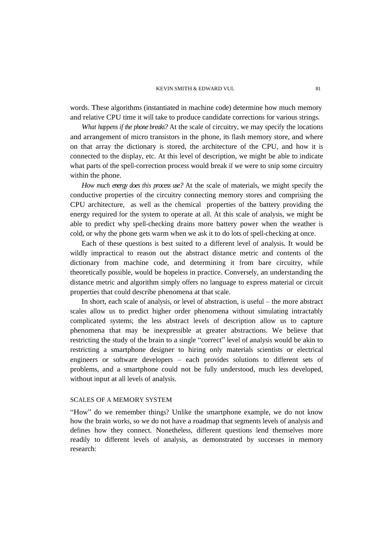words. These algorithms (instantiated in machine code) determine how much memory and relative CPU time it will take to produce candidate corrections for various strings.

*What happens if the phone breaks?* At the scale of circuitry, we may specify the locations and arrangement of micro transistors in the phone, its flash memory store, and where on that array the dictionary is stored, the architecture of the CPU, and how it is connected to the display, etc. At this level of description, we might be able to indicate what parts of the spell-correction process would break if we were to snip some circuitry within the phone.

*How much energy does this process use?* At the scale of materials, we might specify the conductive properties of the circuitry connecting memory stores and comprising the CPU architecture, as well as the chemical properties of the battery providing the energy required for the system to operate at all. At this scale of analysis, we might be able to predict why spell-checking drains more battery power when the weather is cold, or why the phone gets warm when we ask it to do lots of spell-checking at once.

Each of these questions is best suited to a different level of analysis. It would be wildly impractical to reason out the abstract distance metric and contents of the dictionary from machine code, and determining it from bare circuitry, while theoretically possible, would be hopeless in practice. Conversely, an understanding the distance metric and algorithm simply offers no language to express material or circuit properties that could describe phenomena at that scale.

In short, each scale of analysis, or level of abstraction, is useful – the more abstract scales allow us to predict higher order phenomena without simulating intractably complicated systems; the less abstract levels of description allow us to capture phenomena that may be inexpressible at greater abstractions. We believe that restricting the study of the brain to a single "correct" level of analysis would be akin to restricting a smartphone designer to hiring only materials scientists or electrical engineers or software developers – each provides solutions to different sets of problems, and a smartphone could not be fully understood, much less developed, without input at all levels of analysis.

# SCALES OF A MEMORY SYSTEM

"How" do we remember things? Unlike the smartphone example, we do not know how the brain works, so we do not have a roadmap that segments levels of analysis and defines how they connect. Nonetheless, different questions lend themselves more readily to different levels of analysis, as demonstrated by successes in memory research: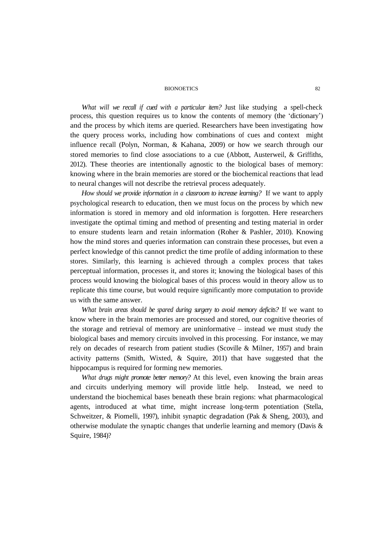#### **BIONOETICS**

*What will we recall if cued with a particular item?* Just like studying a spell-check process, this question requires us to know the contents of memory (the 'dictionary') and the process by which items are queried. Researchers have been investigating how the query process works, including how combinations of cues and context might influence recall (Polyn, Norman, & Kahana, 2009) or how we search through our stored memories to find close associations to a cue (Abbott, Austerweil, & Griffiths, 2012). These theories are intentionally agnostic to the biological bases of memory: knowing where in the brain memories are stored or the biochemical reactions that lead to neural changes will not describe the retrieval process adequately.

*How should we provide information in a classroom to increase learning?* If we want to apply psychological research to education, then we must focus on the process by which new information is stored in memory and old information is forgotten. Here researchers investigate the optimal timing and method of presenting and testing material in order to ensure students learn and retain information (Roher & Pashler, 2010). Knowing how the mind stores and queries information can constrain these processes, but even a perfect knowledge of this cannot predict the time profile of adding information to these stores. Similarly, this learning is achieved through a complex process that takes perceptual information, processes it, and stores it; knowing the biological bases of this process would knowing the biological bases of this process would in theory allow us to replicate this time course, but would require significantly more computation to provide us with the same answer.

*What brain areas should be spared during surgery to avoid memory deficits?* If we want to know where in the brain memories are processed and stored, our cognitive theories of the storage and retrieval of memory are uninformative – instead we must study the biological bases and memory circuits involved in this processing. For instance, we may rely on decades of research from patient studies (Scoville & Milner, 1957) and brain activity patterns (Smith, Wixted, & Squire, 2011) that have suggested that the hippocampus is required for forming new memories.

*What drugs might promote better memory?* At this level, even knowing the brain areas and circuits underlying memory will provide little help. Instead, we need to understand the biochemical bases beneath these brain regions: what pharmacological agents, introduced at what time, might increase long-term potentiation (Stella, Schweitzer, & Piomelli, 1997), inhibit synaptic degradation (Pak & Sheng, 2003), and otherwise modulate the synaptic changes that underlie learning and memory (Davis & Squire, 1984)?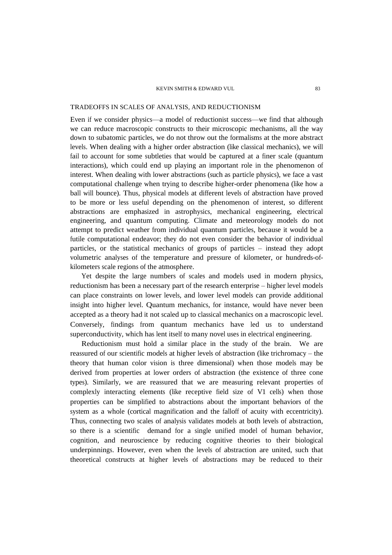#### KEVIN SMITH & EDWARD VUL 83

## TRADEOFFS IN SCALES OF ANALYSIS, AND REDUCTIONISM

Even if we consider physics—a model of reductionist success—we find that although we can reduce macroscopic constructs to their microscopic mechanisms, all the way down to subatomic particles, we do not throw out the formalisms at the more abstract levels. When dealing with a higher order abstraction (like classical mechanics), we will fail to account for some subtleties that would be captured at a finer scale (quantum interactions), which could end up playing an important role in the phenomenon of interest. When dealing with lower abstractions (such as particle physics), we face a vast computational challenge when trying to describe higher-order phenomena (like how a ball will bounce). Thus, physical models at different levels of abstraction have proved to be more or less useful depending on the phenomenon of interest, so different abstractions are emphasized in astrophysics, mechanical engineering, electrical engineering, and quantum computing. Climate and meteorology models do not attempt to predict weather from individual quantum particles, because it would be a futile computational endeavor; they do not even consider the behavior of individual particles, or the statistical mechanics of groups of particles – instead they adopt volumetric analyses of the temperature and pressure of kilometer, or hundreds-ofkilometers scale regions of the atmosphere.

Yet despite the large numbers of scales and models used in modern physics, reductionism has been a necessary part of the research enterprise – higher level models can place constraints on lower levels, and lower level models can provide additional insight into higher level. Quantum mechanics, for instance, would have never been accepted as a theory had it not scaled up to classical mechanics on a macroscopic level. Conversely, findings from quantum mechanics have led us to understand superconductivity, which has lent itself to many novel uses in electrical engineering.

Reductionism must hold a similar place in the study of the brain. We are reassured of our scientific models at higher levels of abstraction (like trichromacy – the theory that human color vision is three dimensional) when those models may be derived from properties at lower orders of abstraction (the existence of three cone types). Similarly, we are reassured that we are measuring relevant properties of complexly interacting elements (like receptive field size of V1 cells) when those properties can be simplified to abstractions about the important behaviors of the system as a whole (cortical magnification and the falloff of acuity with eccentricity). Thus, connecting two scales of analysis validates models at both levels of abstraction, so there is a scientific demand for a single unified model of human behavior, cognition, and neuroscience by reducing cognitive theories to their biological underpinnings. However, even when the levels of abstraction are united, such that theoretical constructs at higher levels of abstractions may be reduced to their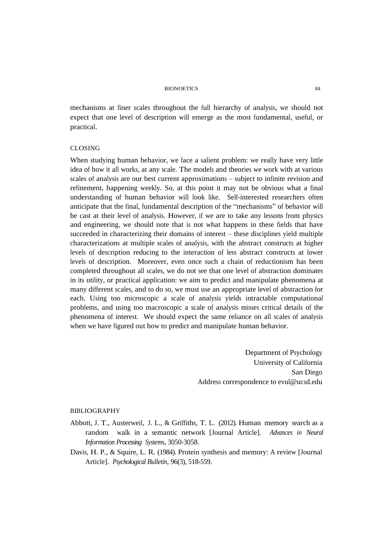#### BIONOETICS 84

mechanisms at finer scales throughout the full hierarchy of analysis, we should not expect that one level of description will emerge as the most fundamental, useful, or practical.

# CLOSING

When studying human behavior, we face a salient problem: we really have very little idea of how it all works, at any scale. The models and theories we work with at various scales of analysis are our best current approximations – subject to infinite revision and refinement, happening weekly. So, at this point it may not be obvious what a final understanding of human behavior will look like. Self-interested researchers often anticipate that the final, fundamental description of the "mechanisms" of behavior will be cast at their level of analysis. However, if we are to take any lessons from physics and engineering, we should note that is not what happens in these fields that have succeeded in characterizing their domains of interest – these disciplines yield multiple characterizations at multiple scales of analysis, with the abstract constructs at higher levels of description reducing to the interaction of less abstract constructs at lower levels of description. Moreover, even once such a chain of reductionism has been completed throughout all scales, we do not see that one level of abstraction dominates in its utility, or practical application: we aim to predict and manipulate phenomena at many different scales, and to do so, we must use an appropriate level of abstraction for each. Using too microscopic a scale of analysis yields intractable computational problems, and using too macroscopic a scale of analysis misses critical details of the phenomena of interest. We should expect the same reliance on all scales of analysis when we have figured out how to predict and manipulate human behavior.

> Department of Psychology University of California San Diego Address correspondence to evul@ucsd.edu

## BIBLIOGRAPHY

- Abbott, J. T., Austerweil, J. L., & Griffiths, T. L. (2012). Human memory search as a random walk in a semantic network [Journal Article]. *Advances in Neural Information Processing System*s, 3050-3058.
- Davis, H. P., & Squire, L. R. (1984). Protein synthesis and memory: A review [Journal Article]. *Psychological Bulletin*, 96(3), 518-559.